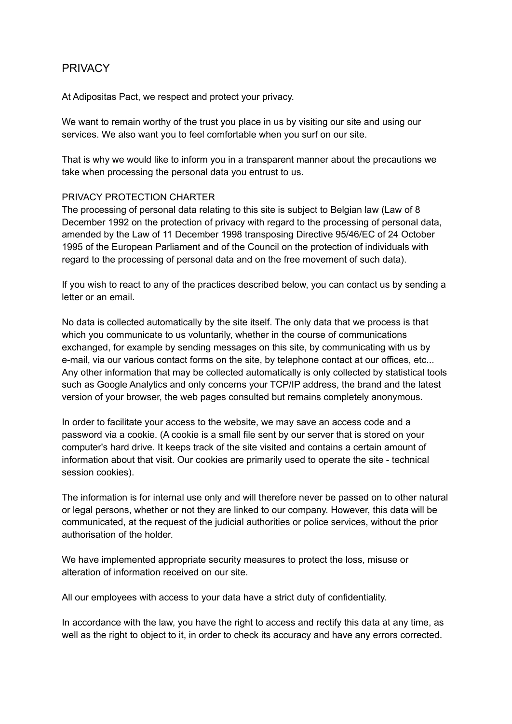# **PRIVACY**

At Adipositas Pact, we respect and protect your privacy.

We want to remain worthy of the trust you place in us by visiting our site and using our services. We also want you to feel comfortable when you surf on our site.

That is why we would like to inform you in a transparent manner about the precautions we take when processing the personal data you entrust to us.

### PRIVACY PROTECTION CHARTER

The processing of personal data relating to this site is subject to Belgian law (Law of 8 December 1992 on the protection of privacy with regard to the processing of personal data, amended by the Law of 11 December 1998 transposing Directive 95/46/EC of 24 October 1995 of the European Parliament and of the Council on the protection of individuals with regard to the processing of personal data and on the free movement of such data).

If you wish to react to any of the practices described below, you can contact us by sending a letter or an email.

No data is collected automatically by the site itself. The only data that we process is that which you communicate to us voluntarily, whether in the course of communications exchanged, for example by sending messages on this site, by communicating with us by e-mail, via our various contact forms on the site, by telephone contact at our offices, etc... Any other information that may be collected automatically is only collected by statistical tools such as Google Analytics and only concerns your TCP/IP address, the brand and the latest version of your browser, the web pages consulted but remains completely anonymous.

In order to facilitate your access to the website, we may save an access code and a password via a cookie. (A cookie is a small file sent by our server that is stored on your computer's hard drive. It keeps track of the site visited and contains a certain amount of information about that visit. Our cookies are primarily used to operate the site - technical session cookies).

The information is for internal use only and will therefore never be passed on to other natural or legal persons, whether or not they are linked to our company. However, this data will be communicated, at the request of the judicial authorities or police services, without the prior authorisation of the holder.

We have implemented appropriate security measures to protect the loss, misuse or alteration of information received on our site.

All our employees with access to your data have a strict duty of confidentiality.

In accordance with the law, you have the right to access and rectify this data at any time, as well as the right to object to it, in order to check its accuracy and have any errors corrected.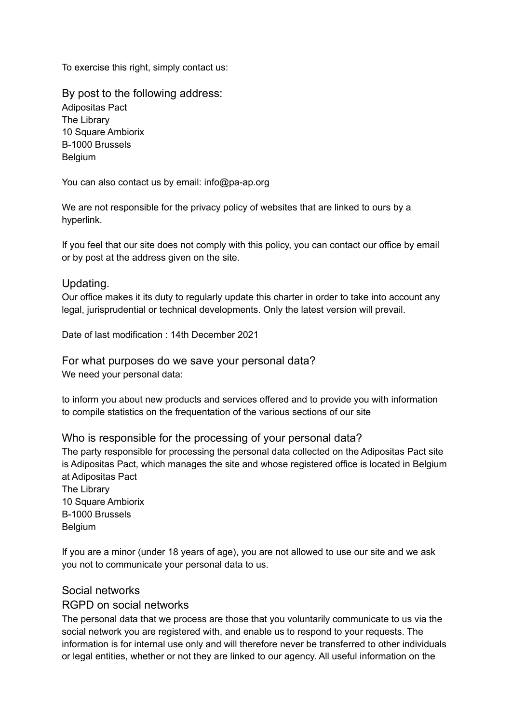To exercise this right, simply contact us:

By post to the following address: Adipositas Pact The Library 10 Square Ambiorix B-1000 Brussels Belgium

You can also contact us by email: info@pa-ap.org

We are not responsible for the privacy policy of websites that are linked to ours by a hyperlink.

If you feel that our site does not comply with this policy, you can contact our office by email or by post at the address given on the site.

### Updating.

Our office makes it its duty to regularly update this charter in order to take into account any legal, jurisprudential or technical developments. Only the latest version will prevail.

Date of last modification : 14th December 2021

For what purposes do we save your personal data? We need your personal data:

to inform you about new products and services offered and to provide you with information to compile statistics on the frequentation of the various sections of our site

Who is responsible for the processing of your personal data? The party responsible for processing the personal data collected on the Adipositas Pact site is Adipositas Pact, which manages the site and whose registered office is located in Belgium at Adipositas Pact The Library 10 Square Ambiorix B-1000 Brussels **Belgium** 

If you are a minor (under 18 years of age), you are not allowed to use our site and we ask you not to communicate your personal data to us.

### Social networks

### RGPD on social networks

The personal data that we process are those that you voluntarily communicate to us via the social network you are registered with, and enable us to respond to your requests. The information is for internal use only and will therefore never be transferred to other individuals or legal entities, whether or not they are linked to our agency. All useful information on the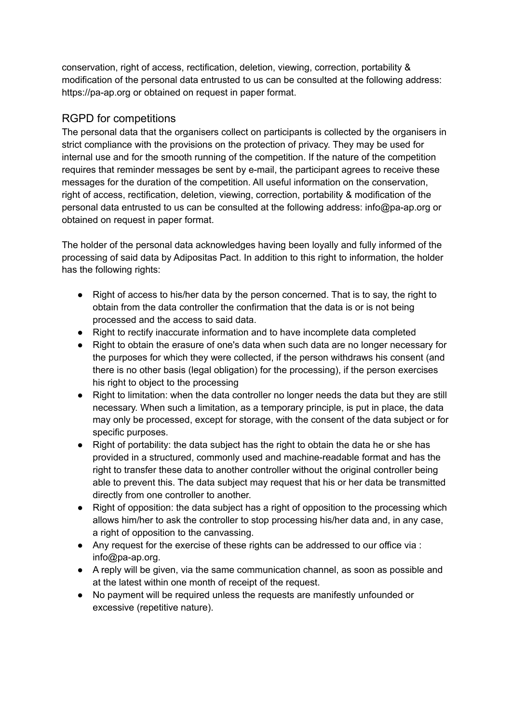conservation, right of access, rectification, deletion, viewing, correction, portability & modification of the personal data entrusted to us can be consulted at the following address: https://pa-ap.org or obtained on request in paper format.

## RGPD for competitions

The personal data that the organisers collect on participants is collected by the organisers in strict compliance with the provisions on the protection of privacy. They may be used for internal use and for the smooth running of the competition. If the nature of the competition requires that reminder messages be sent by e-mail, the participant agrees to receive these messages for the duration of the competition. All useful information on the conservation, right of access, rectification, deletion, viewing, correction, portability & modification of the personal data entrusted to us can be consulted at the following address: info@pa-ap.org or obtained on request in paper format.

The holder of the personal data acknowledges having been loyally and fully informed of the processing of said data by Adipositas Pact. In addition to this right to information, the holder has the following rights:

- Right of access to his/her data by the person concerned. That is to say, the right to obtain from the data controller the confirmation that the data is or is not being processed and the access to said data.
- Right to rectify inaccurate information and to have incomplete data completed
- Right to obtain the erasure of one's data when such data are no longer necessary for the purposes for which they were collected, if the person withdraws his consent (and there is no other basis (legal obligation) for the processing), if the person exercises his right to object to the processing
- Right to limitation: when the data controller no longer needs the data but they are still necessary. When such a limitation, as a temporary principle, is put in place, the data may only be processed, except for storage, with the consent of the data subject or for specific purposes.
- Right of portability: the data subject has the right to obtain the data he or she has provided in a structured, commonly used and machine-readable format and has the right to transfer these data to another controller without the original controller being able to prevent this. The data subject may request that his or her data be transmitted directly from one controller to another.
- Right of opposition: the data subject has a right of opposition to the processing which allows him/her to ask the controller to stop processing his/her data and, in any case, a right of opposition to the canvassing.
- Any request for the exercise of these rights can be addressed to our office via : info@pa-ap.org.
- A reply will be given, via the same communication channel, as soon as possible and at the latest within one month of receipt of the request.
- No payment will be required unless the requests are manifestly unfounded or excessive (repetitive nature).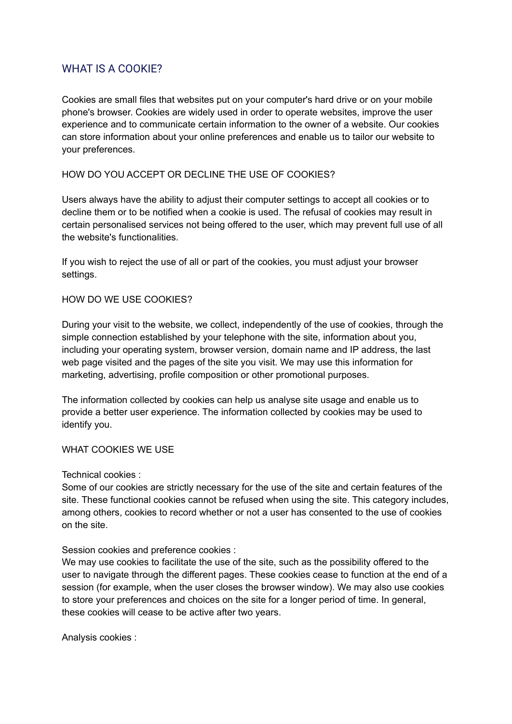# WHAT IS A COOKIE?

Cookies are small files that websites put on your computer's hard drive or on your mobile phone's browser. Cookies are widely used in order to operate websites, improve the user experience and to communicate certain information to the owner of a website. Our cookies can store information about your online preferences and enable us to tailor our website to your preferences.

### HOW DO YOU ACCEPT OR DECLINE THE USE OF COOKIES?

Users always have the ability to adjust their computer settings to accept all cookies or to decline them or to be notified when a cookie is used. The refusal of cookies may result in certain personalised services not being offered to the user, which may prevent full use of all the website's functionalities.

If you wish to reject the use of all or part of the cookies, you must adjust your browser settings.

### HOW DO WE USE COOKIES?

During your visit to the website, we collect, independently of the use of cookies, through the simple connection established by your telephone with the site, information about you, including your operating system, browser version, domain name and IP address, the last web page visited and the pages of the site you visit. We may use this information for marketing, advertising, profile composition or other promotional purposes.

The information collected by cookies can help us analyse site usage and enable us to provide a better user experience. The information collected by cookies may be used to identify you.

#### WHAT COOKIES WE USE

Technical cookies :

Some of our cookies are strictly necessary for the use of the site and certain features of the site. These functional cookies cannot be refused when using the site. This category includes, among others, cookies to record whether or not a user has consented to the use of cookies on the site.

Session cookies and preference cookies :

We may use cookies to facilitate the use of the site, such as the possibility offered to the user to navigate through the different pages. These cookies cease to function at the end of a session (for example, when the user closes the browser window). We may also use cookies to store your preferences and choices on the site for a longer period of time. In general, these cookies will cease to be active after two years.

Analysis cookies :